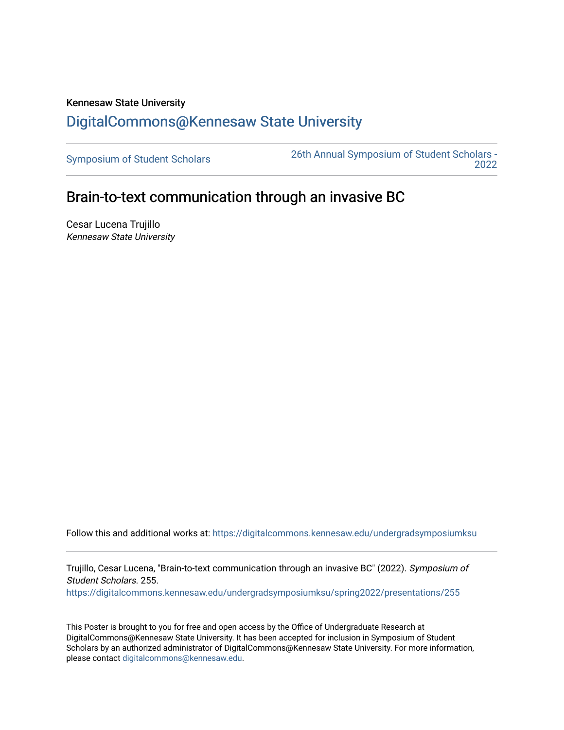## Kennesaw State University [DigitalCommons@Kennesaw State University](https://digitalcommons.kennesaw.edu/)

[Symposium of Student Scholars](https://digitalcommons.kennesaw.edu/undergradsymposiumksu) [26th Annual Symposium of Student Scholars -](https://digitalcommons.kennesaw.edu/undergradsymposiumksu/spring2022)  [2022](https://digitalcommons.kennesaw.edu/undergradsymposiumksu/spring2022) 

## Brain-to-text communication through an invasive BC

Cesar Lucena Trujillo Kennesaw State University

Follow this and additional works at: [https://digitalcommons.kennesaw.edu/undergradsymposiumksu](https://digitalcommons.kennesaw.edu/undergradsymposiumksu?utm_source=digitalcommons.kennesaw.edu%2Fundergradsymposiumksu%2Fspring2022%2Fpresentations%2F255&utm_medium=PDF&utm_campaign=PDFCoverPages) 

Trujillo, Cesar Lucena, "Brain-to-text communication through an invasive BC" (2022). Symposium of Student Scholars. 255.

[https://digitalcommons.kennesaw.edu/undergradsymposiumksu/spring2022/presentations/255](https://digitalcommons.kennesaw.edu/undergradsymposiumksu/spring2022/presentations/255?utm_source=digitalcommons.kennesaw.edu%2Fundergradsymposiumksu%2Fspring2022%2Fpresentations%2F255&utm_medium=PDF&utm_campaign=PDFCoverPages)

This Poster is brought to you for free and open access by the Office of Undergraduate Research at DigitalCommons@Kennesaw State University. It has been accepted for inclusion in Symposium of Student Scholars by an authorized administrator of DigitalCommons@Kennesaw State University. For more information, please contact [digitalcommons@kennesaw.edu.](mailto:digitalcommons@kennesaw.edu)